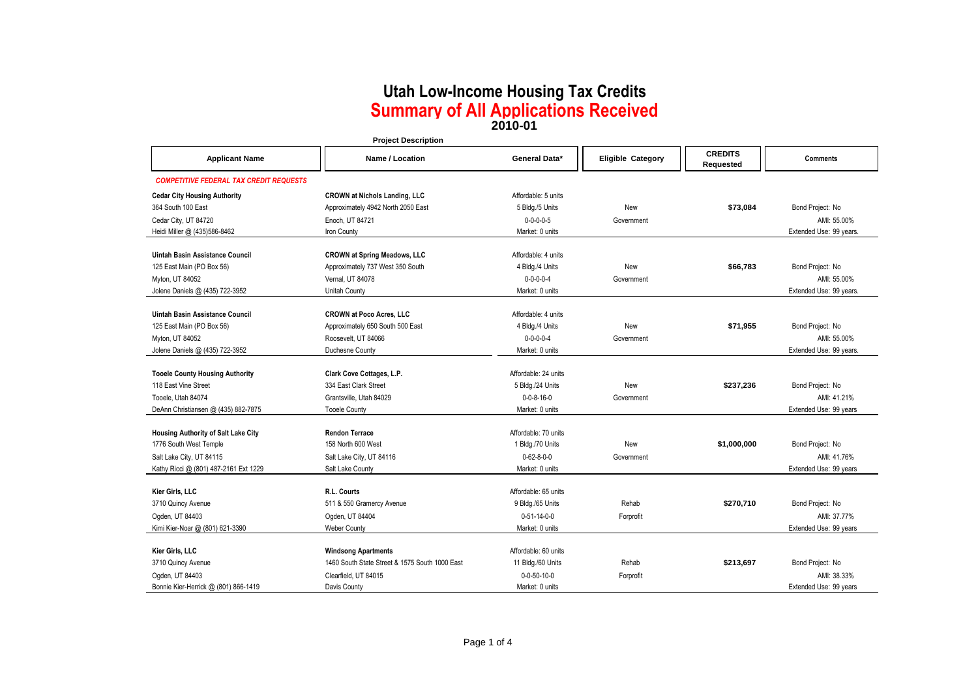**2010-01**

|                                                | <b>Project Description</b>                                              |                       |                          |                             |                         |
|------------------------------------------------|-------------------------------------------------------------------------|-----------------------|--------------------------|-----------------------------|-------------------------|
| <b>Applicant Name</b>                          | <b>Name / Location</b>                                                  | General Data*         | <b>Eligible Category</b> | <b>CREDITS</b><br>Requested | <b>Comments</b>         |
| <b>COMPETITIVE FEDERAL TAX CREDIT REQUESTS</b> |                                                                         |                       |                          |                             |                         |
| <b>Cedar City Housing Authority</b>            | <b>CROWN at Nichols Landing, LLC</b>                                    | Affordable: 5 units   |                          |                             |                         |
| 364 South 100 East                             | Approximately 4942 North 2050 East                                      | 5 Bldg./5 Units       | New                      | \$73,084                    | Bond Project: No        |
| Cedar City, UT 84720                           | Enoch, UT 84721                                                         | $0 - 0 - 0 - 0 - 5$   | Government               |                             | AMI: 55.00%             |
| Heidi Miller @ (435)586-8462                   | Iron County                                                             | Market: 0 units       |                          |                             | Extended Use: 99 years. |
| Uintah Basin Assistance Council                |                                                                         | Affordable: 4 units   |                          |                             |                         |
| 125 East Main (PO Box 56)                      | <b>CROWN at Spring Meadows, LLC</b><br>Approximately 737 West 350 South | 4 Bldg./4 Units       | <b>New</b>               | \$66,783                    | Bond Project: No        |
| Myton, UT 84052                                | Vernal, UT 84078                                                        | $0 - 0 - 0 - 0 - 4$   | Government               |                             | AMI: 55.00%             |
| Jolene Daniels @ (435) 722-3952                | Unitah County                                                           | Market: 0 units       |                          |                             | Extended Use: 99 years. |
|                                                |                                                                         |                       |                          |                             |                         |
| <b>Uintah Basin Assistance Council</b>         | <b>CROWN at Poco Acres, LLC</b>                                         | Affordable: 4 units   |                          |                             |                         |
| 125 East Main (PO Box 56)                      | Approximately 650 South 500 East                                        | 4 Bldg./4 Units       | New                      | \$71,955                    | Bond Project: No        |
| Myton, UT 84052                                | Roosevelt, UT 84066                                                     | $0 - 0 - 0 - 0 - 4$   | Government               |                             | AMI: 55.00%             |
| Jolene Daniels @ (435) 722-3952                | Duchesne County                                                         | Market: 0 units       |                          |                             | Extended Use: 99 years. |
|                                                |                                                                         |                       |                          |                             |                         |
| <b>Tooele County Housing Authority</b>         | Clark Cove Cottages, L.P.                                               | Affordable: 24 units  |                          |                             |                         |
| 118 East Vine Street                           | 334 East Clark Street                                                   | 5 Bldg./24 Units      | New                      | \$237,236                   | Bond Project: No        |
| Tooele. Utah 84074                             | Grantsville, Utah 84029                                                 | $0 - 0 - 8 - 16 - 0$  | Government               |                             | AMI: 41.21%             |
| DeAnn Christiansen @ (435) 882-7875            | <b>Tooele County</b>                                                    | Market: 0 units       |                          |                             | Extended Use: 99 years  |
| Housing Authority of Salt Lake City            | <b>Rendon Terrace</b>                                                   | Affordable: 70 units  |                          |                             |                         |
| 1776 South West Temple                         | 158 North 600 West                                                      | 1 Bldg./70 Units      | New                      | \$1,000,000                 | Bond Project: No        |
| Salt Lake City, UT 84115                       | Salt Lake City, UT 84116                                                | $0 - 62 - 8 - 0 - 0$  | Government               |                             | AMI: 41.76%             |
| Kathy Ricci @ (801) 487-2161 Ext 1229          | Salt Lake County                                                        | Market: 0 units       |                          |                             | Extended Use: 99 years  |
|                                                |                                                                         |                       |                          |                             |                         |
| Kier Girls, LLC                                | R.L. Courts                                                             | Affordable: 65 units  |                          |                             |                         |
| 3710 Quincy Avenue                             | 511 & 550 Gramercy Avenue                                               | 9 Bldg./65 Units      | Rehab                    | \$270.710                   | Bond Project: No        |
| Ogden, UT 84403                                | Ogden, UT 84404                                                         | $0 - 51 - 14 - 0 - 0$ | Forprofit                |                             | AMI: 37.77%             |
| Kimi Kier-Noar @ (801) 621-3390                | <b>Weber County</b>                                                     | Market: 0 units       |                          |                             | Extended Use: 99 years  |
|                                                |                                                                         |                       |                          |                             |                         |
| Kier Girls, LLC                                | <b>Windsong Apartments</b>                                              | Affordable: 60 units  |                          |                             |                         |
| 3710 Quincy Avenue                             | 1460 South State Street & 1575 South 1000 East                          | 11 Bldg./60 Units     | Rehab                    | \$213,697                   | Bond Project: No        |
| Ogden, UT 84403                                | Clearfield, UT 84015                                                    | $0 - 0 - 50 - 10 - 0$ | Forprofit                |                             | AMI: 38.33%             |
| Bonnie Kier-Herrick @ (801) 866-1419           | Davis County                                                            | Market: 0 units       |                          |                             | Extended Use: 99 years  |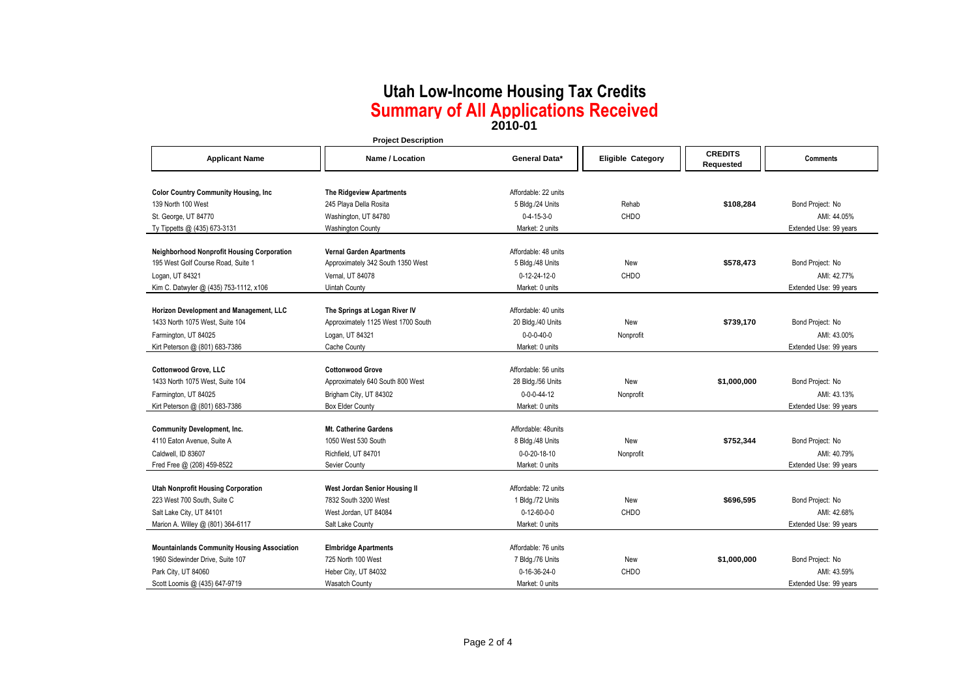**2010-01**

|                                                    | <b>Project Description</b>         |                       |                          |                             |                        |
|----------------------------------------------------|------------------------------------|-----------------------|--------------------------|-----------------------------|------------------------|
| <b>Applicant Name</b>                              | Name / Location                    | General Data*         | <b>Eligible Category</b> | <b>CREDITS</b><br>Requested | <b>Comments</b>        |
|                                                    |                                    |                       |                          |                             |                        |
| <b>Color Country Community Housing, Inc.</b>       | The Ridgeview Apartments           | Affordable: 22 units  |                          |                             |                        |
| 139 North 100 West                                 | 245 Playa Della Rosita             | 5 Bldg./24 Units      | Rehab                    | \$108,284                   | Bond Project: No       |
| St. George, UT 84770                               | Washington, UT 84780               | $0 - 4 - 15 - 3 - 0$  | CHDO                     |                             | AMI: 44.05%            |
| Ty Tippetts @ (435) 673-3131                       | <b>Washington County</b>           | Market: 2 units       |                          |                             | Extended Use: 99 years |
| Neighborhood Nonprofit Housing Corporation         | <b>Vernal Garden Apartments</b>    | Affordable: 48 units  |                          |                             |                        |
| 195 West Golf Course Road, Suite 1                 | Approximately 342 South 1350 West  | 5 Bldg./48 Units      | New                      | \$578,473                   | Bond Project: No       |
| Logan, UT 84321                                    | Vernal, UT 84078                   | 0-12-24-12-0          | <b>CHDO</b>              |                             | AMI: 42.77%            |
| Kim C. Datwyler @ (435) 753-1112, x106             | Uintah County                      | Market: 0 units       |                          |                             | Extended Use: 99 years |
|                                                    |                                    |                       |                          |                             |                        |
| Horizon Development and Management, LLC            | The Springs at Logan River IV      | Affordable: 40 units  |                          |                             |                        |
| 1433 North 1075 West, Suite 104                    | Approximately 1125 West 1700 South | 20 Bldg./40 Units     | New                      | \$739,170                   | Bond Project: No       |
| Farmington, UT 84025                               | Logan, UT 84321                    | $0 - 0 - 0 - 40 - 0$  | Nonprofit                |                             | AMI: 43.00%            |
| Kirt Peterson @ (801) 683-7386                     | Cache County                       | Market: 0 units       |                          |                             | Extended Use: 99 years |
|                                                    |                                    |                       |                          |                             |                        |
| <b>Cottonwood Grove, LLC</b>                       | <b>Cottonwood Grove</b>            | Affordable: 56 units  |                          |                             |                        |
| 1433 North 1075 West, Suite 104                    | Approximately 640 South 800 West   | 28 Bldg./56 Units     | New                      | \$1,000,000                 | Bond Project: No       |
| Farmington, UT 84025                               | Brigham City, UT 84302             | $0 - 0 - 0 - 44 - 12$ | Nonprofit                |                             | AMI: 43.13%            |
| Kirt Peterson @ (801) 683-7386                     | <b>Box Elder County</b>            | Market: 0 units       |                          |                             | Extended Use: 99 years |
| <b>Community Development, Inc.</b>                 | <b>Mt. Catherine Gardens</b>       | Affordable: 48units   |                          |                             |                        |
|                                                    | 1050 West 530 South                | 8 Bldg./48 Units      | New                      | \$752,344                   | Bond Project: No       |
| 4110 Eaton Avenue, Suite A                         |                                    |                       |                          |                             |                        |
| Caldwell, ID 83607                                 | Richfield, UT 84701                | 0-0-20-18-10          | Nonprofit                |                             | AMI: 40.79%            |
| Fred Free @ (208) 459-8522                         | Sevier County                      | Market: 0 units       |                          |                             | Extended Use: 99 years |
| <b>Utah Nonprofit Housing Corporation</b>          | West Jordan Senior Housing II      | Affordable: 72 units  |                          |                             |                        |
| 223 West 700 South, Suite C                        | 7832 South 3200 West               | 1 Bldg./72 Units      | New                      | \$696,595                   | Bond Project: No       |
| Salt Lake City, UT 84101                           | West Jordan, UT 84084              | $0 - 12 - 60 - 0 - 0$ | CHDO                     |                             | AMI: 42.68%            |
| Marion A. Willey @ (801) 364-6117                  | Salt Lake County                   | Market: 0 units       |                          |                             | Extended Use: 99 years |
|                                                    |                                    |                       |                          |                             |                        |
| <b>Mountainlands Community Housing Association</b> | <b>Elmbridge Apartments</b>        | Affordable: 76 units  |                          |                             |                        |
| 1960 Sidewinder Drive, Suite 107                   | 725 North 100 West                 | 7 Bldg./76 Units      | New                      | \$1,000,000                 | Bond Project: No       |
| Park City, UT 84060                                | Heber City, UT 84032               | 0-16-36-24-0          | CHDO                     |                             | AMI: 43.59%            |
| Scott Loomis @ (435) 647-9719                      | <b>Wasatch County</b>              | Market: 0 units       |                          |                             | Extended Use: 99 years |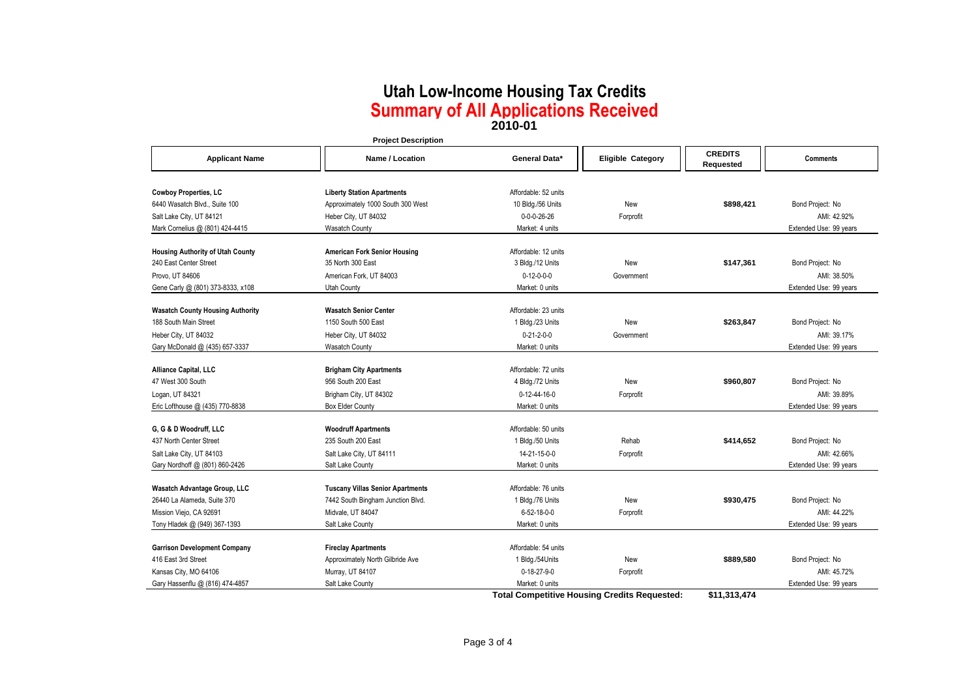**2010-01**

|                                         | <b>Project Description</b>              |                                 |                          |                               |                        |
|-----------------------------------------|-----------------------------------------|---------------------------------|--------------------------|-------------------------------|------------------------|
| <b>Applicant Name</b>                   | Name / Location                         | General Data*                   | <b>Eligible Category</b> | <b>CREDITS</b><br>Requested   | <b>Comments</b>        |
| <b>Cowboy Properties, LC</b>            | <b>Liberty Station Apartments</b>       | Affordable: 52 units            |                          |                               |                        |
| 6440 Wasatch Blvd., Suite 100           | Approximately 1000 South 300 West       | 10 Bldg./56 Units               | New                      | \$898,421                     | Bond Project: No       |
| Salt Lake City, UT 84121                | Heber City, UT 84032                    | $0 - 0 - 0 - 26 - 26$           | Forprofit                |                               | AMI: 42.92%            |
| Mark Cornelius @ (801) 424-4415         | <b>Wasatch County</b>                   | Market: 4 units                 |                          |                               | Extended Use: 99 years |
|                                         |                                         |                                 |                          |                               |                        |
| <b>Housing Authority of Utah County</b> | <b>American Fork Senior Housing</b>     | Affordable: 12 units            |                          |                               |                        |
| 240 East Center Street                  | 35 North 300 East                       | 3 Bldg./12 Units                | New                      | \$147,361                     | Bond Project: No       |
| Provo, UT 84606                         | American Fork, UT 84003                 | $0-12-0-0-0$<br>Market: 0 units | Government               |                               | AMI: 38.50%            |
| Gene Carly @ (801) 373-8333, x108       | Utah County                             |                                 |                          |                               | Extended Use: 99 years |
| <b>Wasatch County Housing Authority</b> | <b>Wasatch Senior Center</b>            | Affordable: 23 units            |                          |                               |                        |
| 188 South Main Street                   | 1150 South 500 East                     | 1 Bldg./23 Units                | New                      | \$263,847                     | Bond Project: No       |
| Heber City, UT 84032                    | Heber City, UT 84032                    | $0 - 21 - 2 - 0 - 0$            | Government               |                               | AMI: 39.17%            |
| Gary McDonald @ (435) 657-3337          | <b>Wasatch County</b>                   | Market: 0 units                 |                          |                               | Extended Use: 99 years |
|                                         |                                         |                                 |                          |                               |                        |
| Alliance Capital, LLC                   | <b>Brigham City Apartments</b>          | Affordable: 72 units            |                          |                               |                        |
| 47 West 300 South                       | 956 South 200 East                      | 4 Bldg./72 Units                | New                      | \$960,807                     | Bond Project: No       |
| Logan, UT 84321                         | Brigham City, UT 84302                  | $0 - 12 - 44 - 16 - 0$          | Forprofit                |                               | AMI: 39.89%            |
| Eric Lofthouse @ (435) 770-8838         | <b>Box Elder County</b>                 | Market: 0 units                 |                          |                               | Extended Use: 99 years |
| G, G & D Woodruff, LLC                  | <b>Woodruff Apartments</b>              | Affordable: 50 units            |                          |                               |                        |
| 437 North Center Street                 | 235 South 200 East                      | 1 Bldg./50 Units                | Rehab                    | \$414,652                     | Bond Project: No       |
| Salt Lake City, UT 84103                | Salt Lake City, UT 84111                | 14-21-15-0-0                    | Forprofit                |                               | AMI: 42.66%            |
| Gary Nordhoff @ (801) 860-2426          | Salt Lake County                        | Market: 0 units                 |                          |                               | Extended Use: 99 years |
| Wasatch Advantage Group, LLC            | <b>Tuscany Villas Senior Apartments</b> | Affordable: 76 units            |                          |                               |                        |
| 26440 La Alameda, Suite 370             | 7442 South Bingham Junction Blvd.       | 1 Bldg./76 Units                | New                      | \$930,475                     | Bond Project: No       |
| Mission Viejo, CA 92691                 | Midvale, UT 84047                       | $6 - 52 - 18 - 0 - 0$           | Forprofit                |                               | AMI: 44.22%            |
| Tony Hladek @ (949) 367-1393            | Salt Lake County                        | Market: 0 units                 |                          |                               | Extended Use: 99 years |
|                                         |                                         |                                 |                          |                               |                        |
| <b>Garrison Development Company</b>     | <b>Fireclay Apartments</b>              | Affordable: 54 units            |                          |                               |                        |
| 416 East 3rd Street                     | Approximately North Gilbride Ave        | 1 Bldg./54Units                 | New                      | \$889,580                     | Bond Project: No       |
| Kansas City, MO 64106                   | Murray, UT 84107                        | $0-18-27-9-0$                   | Forprofit                |                               | AMI: 45.72%            |
| Gary Hassenflu @ (816) 474-4857         | Salt Lake County                        | Market: 0 units<br>$-11$        |                          | $\mathbf{A}$<br>$\sim$ $\sim$ | Extended Use: 99 years |

**Total Competitive Housing Credits Requested: \$11,313,474**